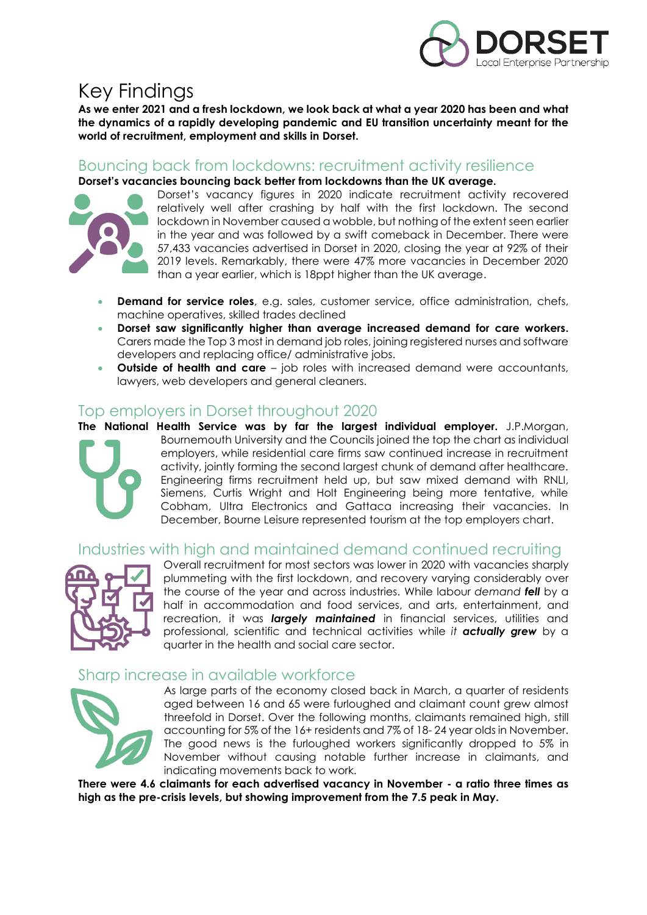

## Key Findings

**As we enter 2021 and a fresh lockdown, we look back at what a year 2020 has been and what the dynamics of a rapidly developing pandemic and EU transition uncertainty meant for the world of recruitment, employment and skills in Dorset.**

### Bouncing back from lockdowns: recruitment activity resilience

**Dorset's vacancies bouncing back better from lockdowns than the UK average.**



Dorset's vacancy figures in 2020 indicate recruitment activity recovered relatively well after crashing by half with the first lockdown. The second lockdown in November caused a wobble, but nothing of the extent seen earlier in the year and was followed by a swift comeback in December. There were 57,433 vacancies advertised in Dorset in 2020, closing the year at 92% of their 2019 levels. Remarkably, there were 47% more vacancies in December 2020 than a year earlier, which is 18ppt higher than the UK average.

- **Demand for service roles**, e.g. sales, customer service, office administration, chefs, machine operatives, skilled trades declined
- **Dorset saw significantly higher than average increased demand for care workers.** Carers made the Top 3 most in demand job roles, joining registered nurses and software developers and replacing office/ administrative jobs.
- **Outside of health and care**  job roles with increased demand were accountants, lawyers, web developers and general cleaners.

### Top employers in Dorset throughout 2020



**The National Health Service was by far the largest individual employer.** J.P.Morgan, Bournemouth University and the Councils joined the top the chart as individual employers, while residential care firms saw continued increase in recruitment activity, jointly forming the second largest chunk of demand after healthcare. Engineering firms recruitment held up, but saw mixed demand with RNLI, Siemens, Curtis Wright and Holt Engineering being more tentative, while Cobham, Ultra Electronics and Gattaca increasing their vacancies. In December, Bourne Leisure represented tourism at the top employers chart.

### Industries with high and maintained demand continued recruiting



Overall recruitment for most sectors was lower in 2020 with vacancies sharply plummeting with the first lockdown, and recovery varying considerably over the course of the year and across industries. While labour *demand fell* by a half in accommodation and food services, and arts, entertainment, and recreation, it was *largely maintained* in financial services, utilities and professional, scientific and technical activities while *it actually grew* by a quarter in the health and social care sector.

### Sharp increase in available workforce



As large parts of the economy closed back in March, a quarter of residents aged between 16 and 65 were furloughed and claimant count grew almost threefold in Dorset. Over the following months, claimants remained high, still accounting for 5% of the 16+ residents and 7% of 18- 24 year olds in November. The good news is the furloughed workers significantly dropped to 5% in November without causing notable further increase in claimants, and indicating movements back to work.

**There were 4.6 claimants for each advertised vacancy in November - a ratio three times as high as the pre-crisis levels, but showing improvement from the 7.5 peak in May.**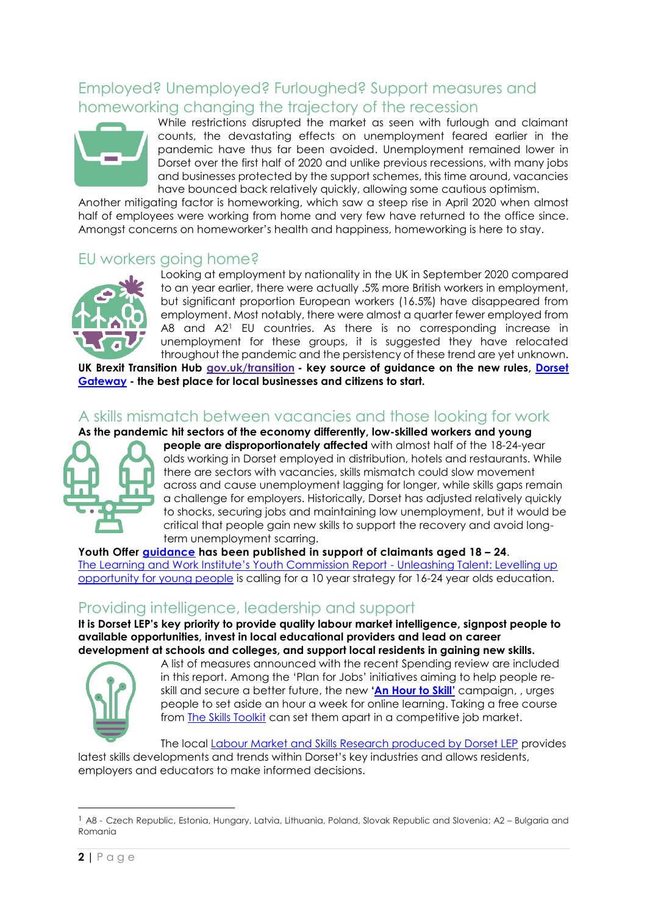### Employed? Unemployed? Furloughed? Support measures and homeworking changing the trajectory of the recession



While restrictions disrupted the market as seen with furlough and claimant counts, the devastating effects on unemployment feared earlier in the pandemic have thus far been avoided. Unemployment remained lower in Dorset over the first half of 2020 and unlike previous recessions, with many jobs and businesses protected by the support schemes, this time around, vacancies have bounced back relatively quickly, allowing some cautious optimism.

Another mitigating factor is homeworking, which saw a steep rise in April 2020 when almost half of employees were working from home and very few have returned to the office since. Amongst concerns on homeworker's health and happiness, homeworking is here to stay.

### EU workers going home?



Looking at employment by nationality in the UK in September 2020 compared to an year earlier, there were actually .5% more British workers in employment, but significant proportion European workers (16.5%) have disappeared from employment. Most notably, there were almost a quarter fewer employed from A8 and A2<sup>1</sup> EU countries. As there is no corresponding increase in unemployment for these groups, it is suggested they have relocated throughout the pandemic and the persistency of these trend are yet unknown.

**UK Brexit Transition Hub [gov.uk/transition](https://www.gov.uk/transition) - key source of guidance on the new rules, [Dorset](https://www.dorsetlep.co.uk/transition-period)  [Gateway](https://www.dorsetlep.co.uk/transition-period) - the best place for local businesses and citizens to start.**

### A skills mismatch between vacancies and those looking for work

**As the pandemic hit sectors of the economy differently, low-skilled workers and young** 



**people are disproportionately affected** with almost half of the 18-24-year olds working in Dorset employed in distribution, hotels and restaurants. While there are sectors with vacancies, skills mismatch could slow movement across and cause unemployment lagging for longer, while skills gaps remain a challenge for employers. Historically, Dorset has adjusted relatively quickly to shocks, securing jobs and maintaining low unemployment, but it would be critical that people gain new skills to support the recovery and avoid longterm unemployment scarring.

**Youth Offer [guidance](https://www.gov.uk/guidance/help-to-find-work-for-universal-credit-claimants-aged-18-to-24) has been published in support of claimants aged 18 – 24**. T[he Learning and Work Institute's Youth Commission Report](https://learningandwork.org.uk/what-we-do/social-justice-inclusion/youth-commission/) - Unleashing Talent: Levelling up [opportunity for young people](https://learningandwork.org.uk/what-we-do/social-justice-inclusion/youth-commission/) is calling for a 10 year strategy for 16-24 year olds education.

### Providing intelligence, leadership and support

**It is Dorset LEP's key priority to provide quality labour market intelligence, signpost people to available opportunities, invest in local educational providers and lead on career development at schools and colleges, and support local residents in gaining new skills.** 



A list of measures announced with the recent Spending review are included in this report. Among the 'Plan for Jobs' initiatives aiming to help people reskill and secure a better future, the new **['An Hour to Skill'](https://www.techuk.org/resource/an-hour-to-skill-campaign-launched-by-government-and-supported-by-business-to-boost-job-prospects.html#:~:text=)** campaign, , urges people to set aside an hour a week for online learning. Taking a free course from **The Skills Toolkit** can set them apart in a competitive job market.

The local [Labour Market and Skills Research produced by Dorset LEP](https://www.dorsetlep.co.uk/labour-market-and-skills-research) provides latest skills developments and trends within Dorset's key industries and allows residents, employers and educators to make informed decisions.

 $\overline{a}$ 

<sup>1</sup> A8 - Czech Republic, Estonia, Hungary, Latvia, Lithuania, Poland, Slovak Republic and Slovenia; A2 – Bulgaria and Romania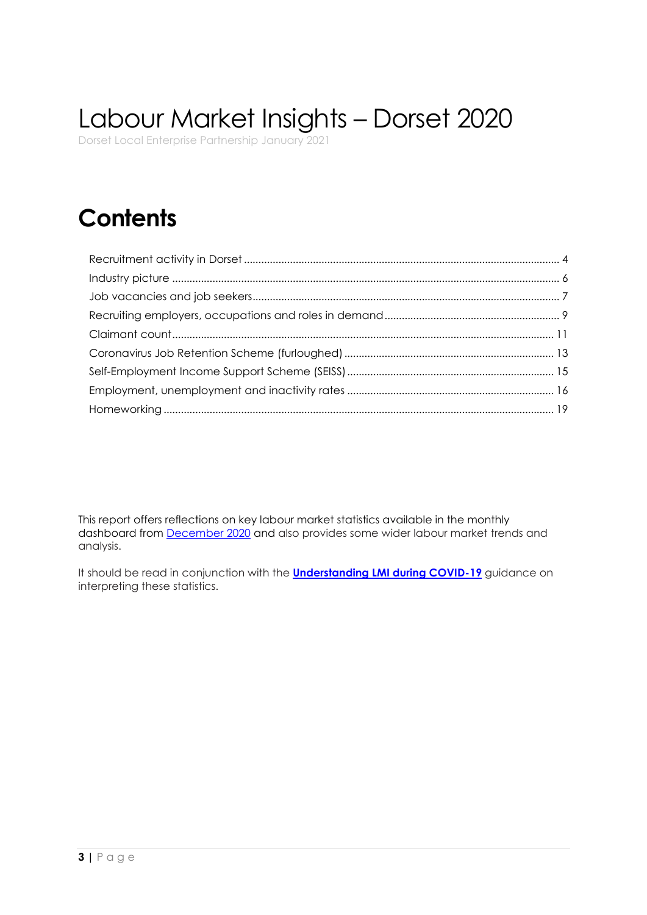# Labour Market Insights – Dorset 2020

Dorset Local Enterprise Partnership January 2021

## **Contents**

This report offers reflections on key labour market statistics available in the monthly dashboard from [December 2020](https://www.dorsetlep.co.uk/dorset-labour-market-insights-december-2020) and also provides some wider labour market trends and analysis.

It should be read in conjunction with the **[Understanding LMI during COVID-19](https://eur02.safelinks.protection.outlook.com/?url=https%3A%2F%2Fwww.dorsetlep.co.uk%2Fuserfiles%2Ffiles%2FUnderstanding%2520LMI%2520during%2520COVID-19.pdf&data=02%7C01%7Cctracy%40bournemouth.ac.uk%7Cdefe61a295fc4cb828dd08d85fc7fe16%7Cede29655d09742e4bbb5f38d427fbfb8%7C0%7C0%7C637364659850167379&sdata=nm4umYnm5PXzBZIzsxnqWSwtMPJDQmueH8VYfYTTgHw%3D&reserved=0)** guidance on interpreting these statistics.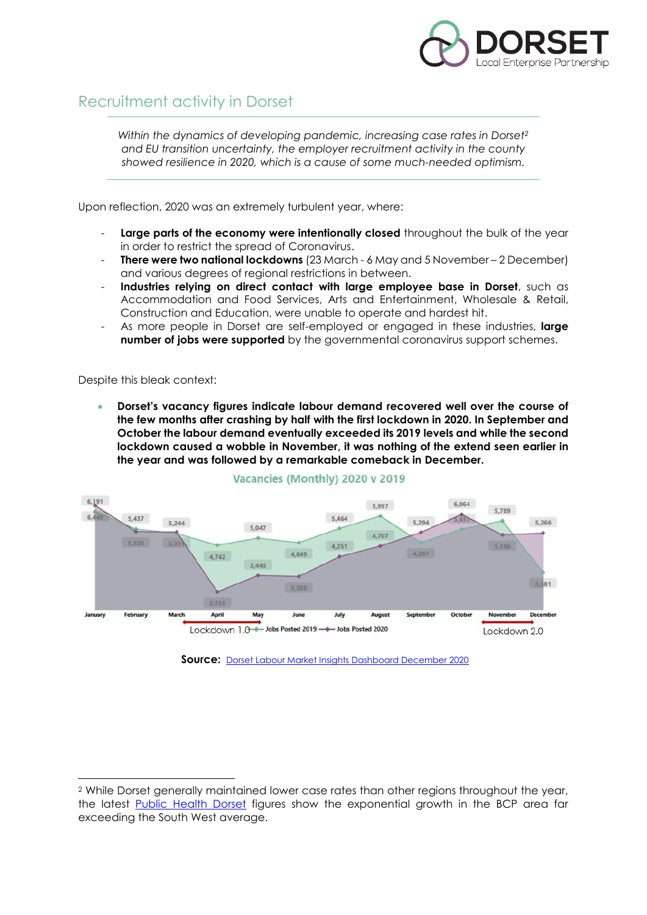

### <span id="page-3-0"></span>Recruitment activity in Dorset

*Within the dynamics of developing pandemic, increasing case rates in Dorset<sup>2</sup> and EU transition uncertainty, the employer recruitment activity in the county showed resilience in 2020, which is a cause of some much-needed optimism.*

Upon reflection, 2020 was an extremely turbulent year, where:

- Large parts of the economy were intentionally closed throughout the bulk of the year in order to restrict the spread of Coronavirus.
- **There were two national lockdowns** (23 March 6 May and 5 November 2 December) and various degrees of regional restrictions in between.
- **Industries relying on direct contact with large employee base in Dorset**, such as Accommodation and Food Services, Arts and Entertainment, Wholesale & Retail, Construction and Education, were unable to operate and hardest hit.
- As more people in Dorset are self-employed or engaged in these industries, **large number of jobs were supported** by the governmental coronavirus support schemes.

Despite this bleak context:

 $\overline{a}$ 

 **Dorset's vacancy figures indicate labour demand recovered well over the course of the few months after crashing by half with the first lockdown in 2020. In September and October the labour demand eventually exceeded its 2019 levels and while the second lockdown caused a wobble in November, it was nothing of the extend seen earlier in the year and was followed by a remarkable comeback in December.** 



#### Vacancies (Monthly) 2020 v 2019

**Source:** [Dorset Labour Market Insights Dashboard December 2020](https://www.dorsetlep.co.uk/dorset-labour-market-insights-december-2020)

<sup>2</sup> While Dorset generally maintained lower case rates than other regions throughout the year, the latest [Public Health Dorset](https://www.publichealthdorset.org.uk/your-health/protecting-your-health/latest-updates-on-covid-19-in-dorset.aspx) figures show the exponential growth in the BCP area far exceeding the South West average.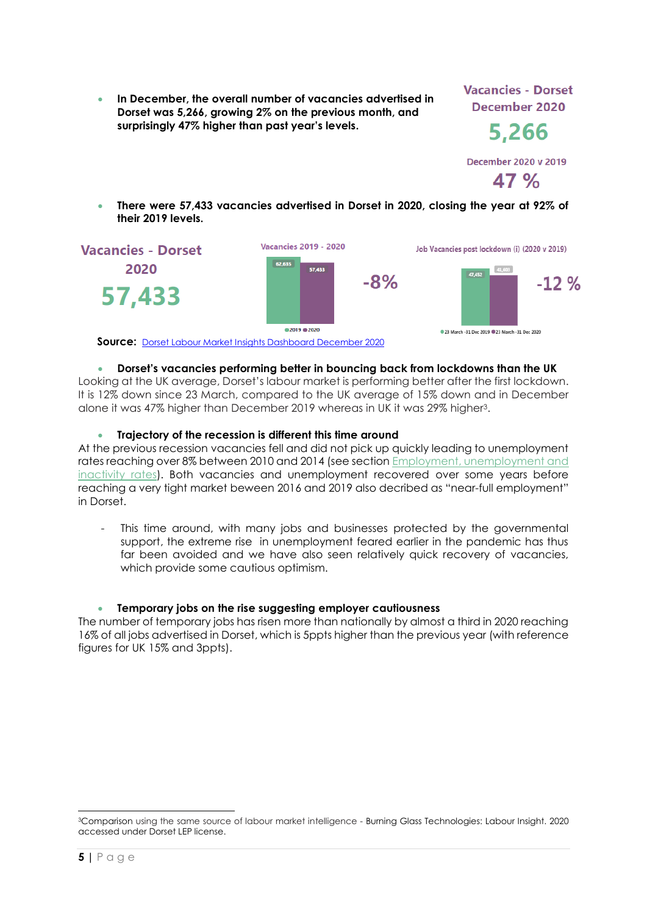**In December, the overall number of vacancies advertised in Dorset was 5,266, growing 2% on the previous month, and surprisingly 47% higher than past year's levels.** 

**Vacancies - Dorset** December 2020

5,266

**December 2020 v 2019**  $47%$ 

 **There were 57,433 vacancies advertised in Dorset in 2020, closing the year at 92% of their 2019 levels.** 



**Source:** [Dorset Labour Market Insights Dashboard December 2020](https://www.dorsetlep.co.uk/dorset-labour-market-insights-december-2020)

#### **Dorset's vacancies performing better in bouncing back from lockdowns than the UK**

Looking at the UK average, Dorset's labour market is performing better after the first lockdown. It is 12% down since 23 March, compared to the UK average of 15% down and in December alone it was 47% higher than December 2019 whereas in UK it was 29% higher3.

#### **Trajectory of the recession is different this time around**

At the previous recession vacancies fell and did not pick up quickly leading to unemployment rates reaching over 8% between 2010 and 2014 (see section [Employment, unemployment and](#page-15-0)  [inactivity rates\)](#page-15-0). Both vacancies and unemployment recovered over some years before reaching a very tight market beween 2016 and 2019 also decribed as "near-full employment" in Dorset.

This time around, with many jobs and businesses protected by the governmental support, the extreme rise in unemployment feared earlier in the pandemic has thus far been avoided and we have also seen relatively quick recovery of vacancies, which provide some cautious optimism.

### **Temporary jobs on the rise suggesting employer cautiousness**

The number of temporary jobs has risen more than nationally by almost a third in 2020 reaching 16% of all jobs advertised in Dorset, which is 5ppts higher than the previous year (with reference figures for UK 15% and 3ppts).

<sup>3</sup>Comparison using the same source of labour market intelligence - Burning Glass Technologies: Labour Insight. 2020 accessed under Dorset LEP license.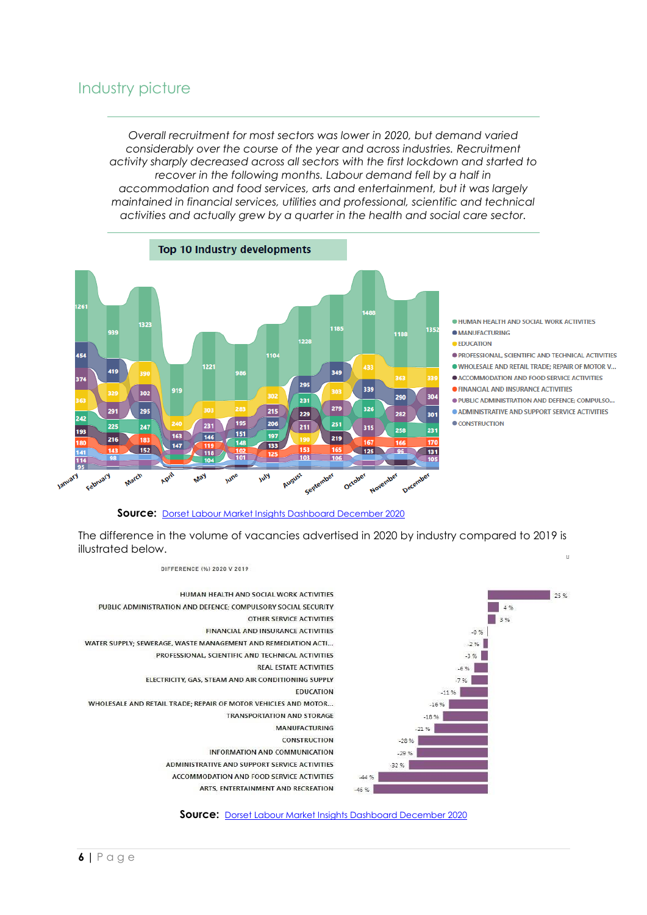### <span id="page-5-0"></span>Industry picture

*Overall recruitment for most sectors was lower in 2020, but demand varied considerably over the course of the year and across industries. Recruitment activity sharply decreased across all sectors with the first lockdown and started to recover in the following months. Labour demand fell by a half in accommodation and food services, arts and entertainment, but it was largely maintained in financial services, utilities and professional, scientific and technical activities and actually grew by a quarter in the health and social care sector.*



**. HUMAN HEALTH AND SOCIAL WORK ACTIVITIES** 

- **CAMBER AND MANUFACTURING**
- **EDUCATION**
- **O PROFESSIONAL SCIENTIFIC AND TECHNICAL ACTIVITIES**

. WHOLESALE AND RETAIL TRADE: REPAIR OF MOTOR V...

- **CACCOMMODATION AND FOOD SERVICE ACTIVITIES**
- **FINANCIAL AND INSURANCE ACTIVITIES**
- · PUBLIC ADMINISTRATION AND DEFENCE; COMPULSO...
- **ADMINISTRATIVE AND SUPPORT SERVICE ACTIVITIES**

CONSTRUCTION



The difference in the volume of vacancies advertised in 2020 by industry compared to 2019 is illustrated below.  $\overline{u}$ 



**Source:** [Dorset Labour Market Insights Dashboard December 2020](https://www.dorsetlep.co.uk/dorset-labour-market-insights-december-2020)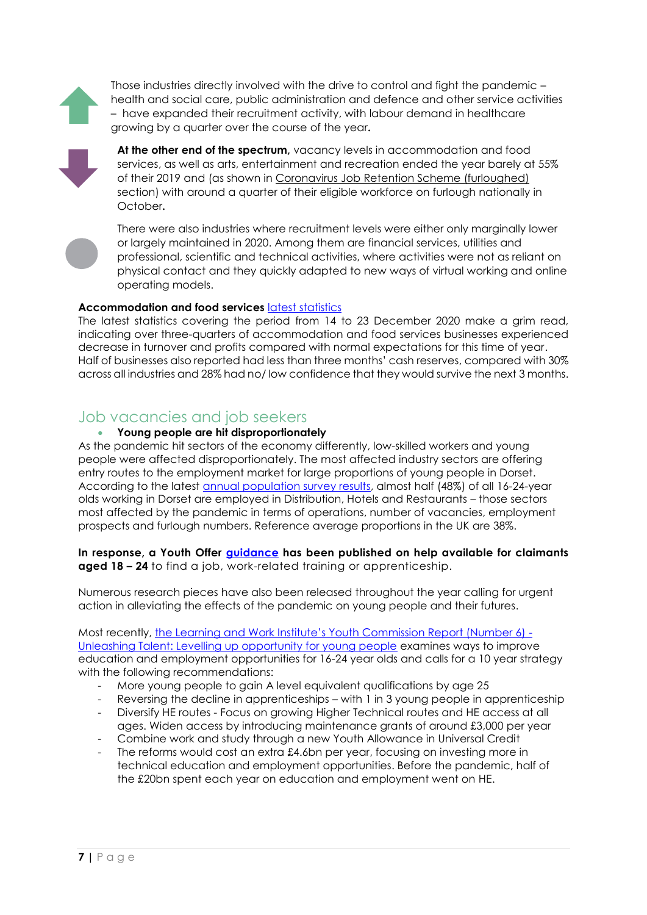Those industries directly involved with the drive to control and fight the pandemic – health and social care, public administration and defence and other service activities – have expanded their recruitment activity, with labour demand in healthcare growing by a quarter over the course of the year**.**



**At the other end of the spectrum,** vacancy levels in accommodation and food services, as well as arts, entertainment and recreation ended the year barely at 55% of their 2019 and (as shown in [Coronavirus Job Retention Scheme \(furloughed\)](#page-12-0) section) with around a quarter of their eligible workforce on furlough nationally in October**.**



There were also industries where recruitment levels were either only marginally lower or largely maintained in 2020. Among them are financial services, utilities and professional, scientific and technical activities, where activities were not as reliant on physical contact and they quickly adapted to new ways of virtual working and online operating models.

#### **Accommodation and food services** latest [statistics](https://www.ons.gov.uk/businessindustryandtrade/business/businessservices/bulletins/businessinsightsandimpactontheukeconomy/7january2021)

The latest statistics covering the period from 14 to 23 December 2020 make a grim read, indicating over three-quarters of accommodation and food services businesses experienced decrease in turnover and profits compared with normal expectations for this time of year. Half of businesses also reported had less than three months' cash reserves, compared with 30% across all industries and 28% had no/ low confidence that they would survive the next 3 months.

### <span id="page-6-0"></span>Job vacancies and job seekers

#### **Young people are hit disproportionately**

As the pandemic hit sectors of the economy differently, low-skilled workers and young people were affected disproportionately. The most affected industry sectors are offering entry routes to the employment market for large proportions of young people in Dorset. According to the latest [annual population survey results,](https://www.nomisweb.co.uk/datasets/apsnew) almost half (48%) of all 16-24-year olds working in Dorset are employed in Distribution, Hotels and Restaurants – those sectors most affected by the pandemic in terms of operations, number of vacancies, employment prospects and furlough numbers. Reference average proportions in the UK are 38%.

**In response, a Youth Offer [guidance](https://www.gov.uk/guidance/help-to-find-work-for-universal-credit-claimants-aged-18-to-24) has been published on help available for claimants aged 18 – 24** to find a job, work-related training or apprenticeship.

Numerous research pieces have also been released throughout the year calling for urgent action in alleviating the effects of the pandemic on young people and their futures.

Most recently, t[he Learning and Work Institute's Youth Commission Report \(Number 6\)](https://learningandwork.org.uk/what-we-do/social-justice-inclusion/youth-commission/) - [Unleashing Talent: Levelling up opportunity for young people](https://learningandwork.org.uk/what-we-do/social-justice-inclusion/youth-commission/) examines ways to improve education and employment opportunities for 16-24 year olds and calls for a 10 year strategy with the following recommendations:

- More young people to gain A level equivalent qualifications by age 25
- Reversing the decline in apprenticeships with 1 in 3 young people in apprenticeship
- Diversify HE routes Focus on growing Higher Technical routes and HE access at all ages. Widen access by introducing maintenance grants of around £3,000 per year
- Combine work and study through a new Youth Allowance in Universal Credit
- The reforms would cost an extra £4.6bn per year, focusing on investing more in technical education and employment opportunities. Before the pandemic, half of the £20bn spent each year on education and employment went on HE.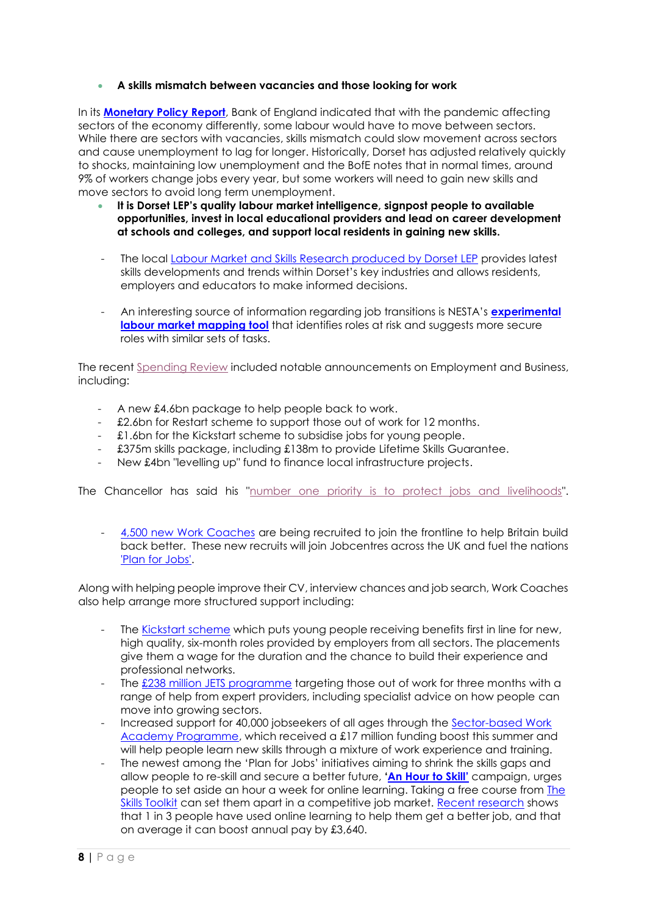#### **A skills mismatch between vacancies and those looking for work**

In its **[Monetary Policy Report](https://www.bankofengland.co.uk/monetary-policy-report/2020/november-2020)**, Bank of England indicated that with the pandemic affecting sectors of the economy differently, some labour would have to move between sectors. While there are sectors with vacancies, skills mismatch could slow movement across sectors and cause unemployment to lag for longer. Historically, Dorset has adjusted relatively quickly to shocks, maintaining low unemployment and the BofE notes that in normal times, around 9% of workers change jobs every year, but some workers will need to gain new skills and move sectors to avoid long term unemployment.

- **It is Dorset LEP's quality labour market intelligence, signpost people to available opportunities, invest in local educational providers and lead on career development at schools and colleges, and support local residents in gaining new skills.**
- The local [Labour Market and Skills Research produced by Dorset LEP](https://www.dorsetlep.co.uk/labour-market-and-skills-research) provides latest skills developments and trends within Dorset's key industries and allows residents, employers and educators to make informed decisions.
- An interesting source of information regarding job transitions is NESTA's **[experimental](https://data-viz.nesta.org.uk/career-causeways/index.html)  [labour market mapping tool](https://data-viz.nesta.org.uk/career-causeways/index.html)** that identifies roles at risk and suggests more secure roles with similar sets of tasks.

The recent [Spending Review](https://eur02.safelinks.protection.outlook.com/?url=https%3A%2F%2Fiib.cmail19.com%2Ft%2Fr-l-juiydyky-oyhhhhhhtj-t%2F&data=04%7C01%7Cmkoseva%40bournemouth.ac.uk%7Ca5c16646ab2c445a5d5c08d895d782c2%7Cede29655d09742e4bbb5f38d427fbfb8%7C0%7C0%7C637424100141163157%7CUnknown%7CTWFpbGZsb3d8eyJWIjoiMC4wLjAwMDAiLCJQIjoiV2luMzIiLCJBTiI6Ik1haWwiLCJXVCI6Mn0%3D%7C1000&sdata=IcG0iKYRGxWlFhXovs%2FLYqkX5st0Sjobx8wo%2FwLSGdU%3D&reserved=0) included notable announcements on Employment and Business, including:

- A new £4.6bn package to help people back to work.
- £2.6bn for Restart scheme to support those out of work for 12 months.
- £1.6bn for the Kickstart scheme to subsidise jobs for young people.
- £375m skills package, including £138m to provide Lifetime Skills Guarantee.
- New £4bn "levelling up" fund to finance local infrastructure projects.

The Chancellor has said his ["number one priority is to protect jobs and livelihoods"](https://eur02.safelinks.protection.outlook.com/?url=https%3A%2F%2Fiib.cmail19.com%2Ft%2Fr-l-juiydyky-oyhhhhhhtj-i%2F&data=04%7C01%7Cmkoseva%40bournemouth.ac.uk%7Ca5c16646ab2c445a5d5c08d895d782c2%7Cede29655d09742e4bbb5f38d427fbfb8%7C0%7C0%7C637424100141173105%7CUnknown%7CTWFpbGZsb3d8eyJWIjoiMC4wLjAwMDAiLCJQIjoiV2luMzIiLCJBTiI6Ik1haWwiLCJXVCI6Mn0%3D%7C1000&sdata=4H%2BZ2olp3htQrjWTh2yUN8wqQDTropyKQ0GqMgWQBmo%3D&reserved=0).

- [4,500 new Work Coaches](https://eur02.safelinks.protection.outlook.com/?url=https%3A%2F%2Fiib.cmail19.com%2Ft%2Fr-l-juiydyky-oyhhhhhhtj-d%2F&data=04%7C01%7Cmkoseva%40bournemouth.ac.uk%7Ca5c16646ab2c445a5d5c08d895d782c2%7Cede29655d09742e4bbb5f38d427fbfb8%7C0%7C0%7C637424100141173105%7CUnknown%7CTWFpbGZsb3d8eyJWIjoiMC4wLjAwMDAiLCJQIjoiV2luMzIiLCJBTiI6Ik1haWwiLCJXVCI6Mn0%3D%7C1000&sdata=A6zbHy%2FV2aPCD5ndTVBCZLLCI0fhYfpCch5RlefO15E%3D&reserved=0) are being recruited to join the frontline to help Britain build back better. These new recruits will join Jobcentres across the UK and fuel the nations ['Plan for Jobs'.](https://eur02.safelinks.protection.outlook.com/?url=https%3A%2F%2Fiib.cmail19.com%2Ft%2Fr-l-juiydyky-oyhhhhhhtj-h%2F&data=04%7C01%7Cmkoseva%40bournemouth.ac.uk%7Ca5c16646ab2c445a5d5c08d895d782c2%7Cede29655d09742e4bbb5f38d427fbfb8%7C0%7C0%7C637424100141173105%7CUnknown%7CTWFpbGZsb3d8eyJWIjoiMC4wLjAwMDAiLCJQIjoiV2luMzIiLCJBTiI6Ik1haWwiLCJXVCI6Mn0%3D%7C1000&sdata=UMgl2yWuhmSNbAJljmWVFw1wWNMCBfCasH2rVcnVWxg%3D&reserved=0)

Along with helping people improve their CV, interview chances and job search, Work Coaches also help arrange more structured support including:

- The [Kickstart scheme](https://eur02.safelinks.protection.outlook.com/?url=https%3A%2F%2Fiib.cmail19.com%2Ft%2Fr-l-juiydyky-oyhhhhhhtj-k%2F&data=04%7C01%7Cmkoseva%40bournemouth.ac.uk%7Ca5c16646ab2c445a5d5c08d895d782c2%7Cede29655d09742e4bbb5f38d427fbfb8%7C0%7C0%7C637424100141183063%7CUnknown%7CTWFpbGZsb3d8eyJWIjoiMC4wLjAwMDAiLCJQIjoiV2luMzIiLCJBTiI6Ik1haWwiLCJXVCI6Mn0%3D%7C1000&sdata=TQBfQoWNj5gABqIb45%2F%2FvkVW3z%2FvTaMXQf4vlBfwB30%3D&reserved=0) which puts young people receiving benefits first in line for new, high quality, six-month roles provided by employers from all sectors. The placements give them a wage for the duration and the chance to build their experience and professional networks.
- The  $£238$  million JETS programme targeting those out of work for three months with a range of help from expert providers, including specialist advice on how people can move into growing sectors.
- Increased support for 40,000 jobseekers of all ages through the [Sector-based Work](https://eur02.safelinks.protection.outlook.com/?url=https%3A%2F%2Fiib.cmail19.com%2Ft%2Fr-l-juiydyky-oyhhhhhhtj-o%2F&data=04%7C01%7Cmkoseva%40bournemouth.ac.uk%7Ca5c16646ab2c445a5d5c08d895d782c2%7Cede29655d09742e4bbb5f38d427fbfb8%7C0%7C0%7C637424100141193019%7CUnknown%7CTWFpbGZsb3d8eyJWIjoiMC4wLjAwMDAiLCJQIjoiV2luMzIiLCJBTiI6Ik1haWwiLCJXVCI6Mn0%3D%7C1000&sdata=BIqXjrflo%2FaBi8xjxBK%2Fkojlj5XqJF8VUiK%2FL9yvXKQ%3D&reserved=0)  [Academy Programme,](https://eur02.safelinks.protection.outlook.com/?url=https%3A%2F%2Fiib.cmail19.com%2Ft%2Fr-l-juiydyky-oyhhhhhhtj-o%2F&data=04%7C01%7Cmkoseva%40bournemouth.ac.uk%7Ca5c16646ab2c445a5d5c08d895d782c2%7Cede29655d09742e4bbb5f38d427fbfb8%7C0%7C0%7C637424100141193019%7CUnknown%7CTWFpbGZsb3d8eyJWIjoiMC4wLjAwMDAiLCJQIjoiV2luMzIiLCJBTiI6Ik1haWwiLCJXVCI6Mn0%3D%7C1000&sdata=BIqXjrflo%2FaBi8xjxBK%2Fkojlj5XqJF8VUiK%2FL9yvXKQ%3D&reserved=0) which received a £17 million funding boost this summer and will help people learn new skills through a mixture of work experience and training.
- The newest among the 'Plan for Jobs' initiatives aiming to shrink the skills gaps and allow people to re-skill and secure a better future, **['An Hour to Skill'](https://www.techuk.org/resource/an-hour-to-skill-campaign-launched-by-government-and-supported-by-business-to-boost-job-prospects.html#:~:text=)** campaign, urges people to set aside an hour a week for online learning. Taking a free course from [The](https://theskillstoolkit.campaign.gov.uk/)  [Skills Toolkit](https://theskillstoolkit.campaign.gov.uk/) can set them apart in a competitive job market. [Recent research](https://demos.co.uk/press-release/new-study-reveals-online-learning-boosts-average-uk-annual-pay-by-3640/) shows that 1 in 3 people have used online learning to help them get a better job, and that on average it can boost annual pay by £3,640.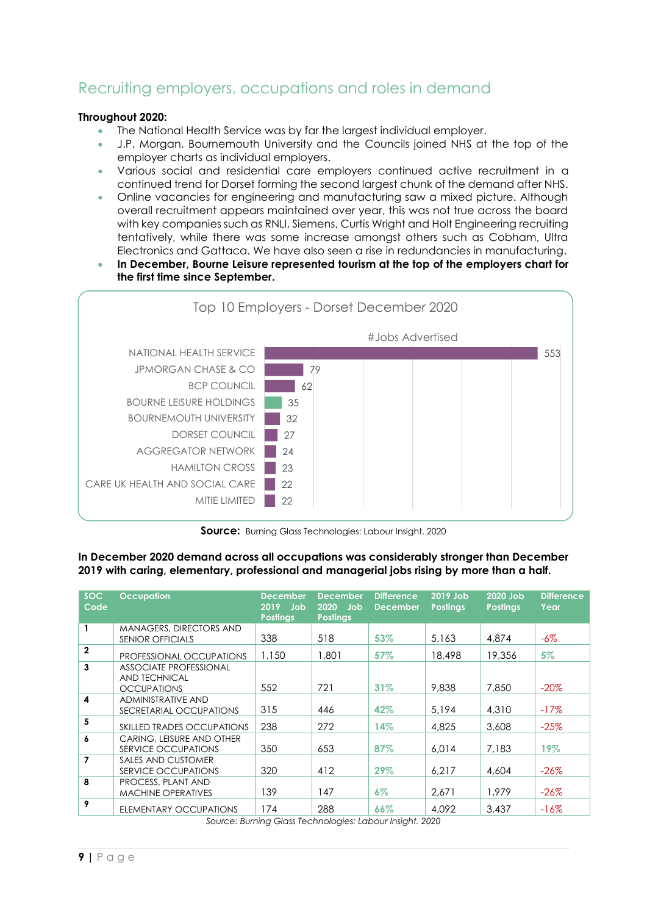### <span id="page-8-0"></span>Recruiting employers, occupations and roles in demand

#### **Throughout 2020:**

- The National Health Service was by far the largest individual employer.
- J.P. Morgan, Bournemouth University and the Councils joined NHS at the top of the employer charts as individual employers.
- Various social and residential care employers continued active recruitment in a continued trend for Dorset forming the second largest chunk of the demand after NHS.
- Online vacancies for engineering and manufacturing saw a mixed picture. Although overall recruitment appears maintained over year, this was not true across the board with key companies such as RNLI, Siemens, Curtis Wright and Holt Engineering recruiting tentatively, while there was some increase amongst others such as Cobham, Ultra Electronics and Gattaca. We have also seen a rise in redundancies in manufacturing.
- **In December, Bourne Leisure represented tourism at the top of the employers chart for the first time since September.**



**Source:** Burning Glass Technologies: Labour Insight. 2020

#### **In December 2020 demand across all occupations was considerably stronger than December 2019 with caring, elementary, professional and managerial jobs rising by more than a half.**

| <b>SOC</b><br>Code | <b>Occupation</b>                                                           | <b>December</b><br>$2019$ Job<br><b>Postings</b> | <b>December</b><br>2020<br>Job<br><b>Postings</b> | <b>Difference</b><br><b>December</b> | 2019 Job<br><b>Postings</b> | 2020 Job<br><b>Postings</b> | <b>Difference</b><br>Year |
|--------------------|-----------------------------------------------------------------------------|--------------------------------------------------|---------------------------------------------------|--------------------------------------|-----------------------------|-----------------------------|---------------------------|
|                    | MANAGERS, DIRECTORS AND<br><b>SENIOR OFFICIALS</b>                          | 338                                              | 518                                               | 53%                                  | 5.163                       | 4,874                       | -6%                       |
| $\mathbf{2}$       | PROFESSIONAL OCCUPATIONS                                                    | 1,150                                            | 1,801                                             | 57%                                  | 18,498                      | 19,356                      | 5%                        |
| 3                  | <b>ASSOCIATE PROFESSIONAL</b><br><b>AND TECHNICAL</b><br><b>OCCUPATIONS</b> | 552                                              | 721                                               | 31%                                  | 9,838                       | 7,850                       | $-20\%$                   |
| 4                  | <b>ADMINISTRATIVE AND</b><br>SECRETARIAL OCCUPATIONS                        | 315                                              | 446                                               | 42%                                  | 5.194                       | 4,310                       | $-17\%$                   |
| 5                  | <b>SKILLED TRADES OCCUPATIONS</b>                                           | 238                                              | 272                                               | 14%                                  | 4,825                       | 3,608                       | $-25%$                    |
| 6                  | CARING, LEISURE AND OTHER<br>SERVICE OCCUPATIONS                            | 350                                              | 653                                               | 87%                                  | 6.014                       | 7.183                       | 19%                       |
| 7                  | SALES AND CUSTOMER<br>SERVICE OCCUPATIONS                                   | 320                                              | 412                                               | 29%                                  | 6.217                       | 4,604                       | $-26\%$                   |
| 8                  | PROCESS, PLANT AND<br><b>MACHINE OPERATIVES</b>                             | 139                                              | 147                                               | $6\%$                                | 2.671                       | 1.979                       | $-26\%$                   |
| 9                  | ELEMENTARY OCCUPATIONS                                                      | 174                                              | 288                                               | 66%<br>.                             | 4.092                       | 3.437                       | $-16\%$                   |

*Source: Burning Glass Technologies: Labour Insight. 2020*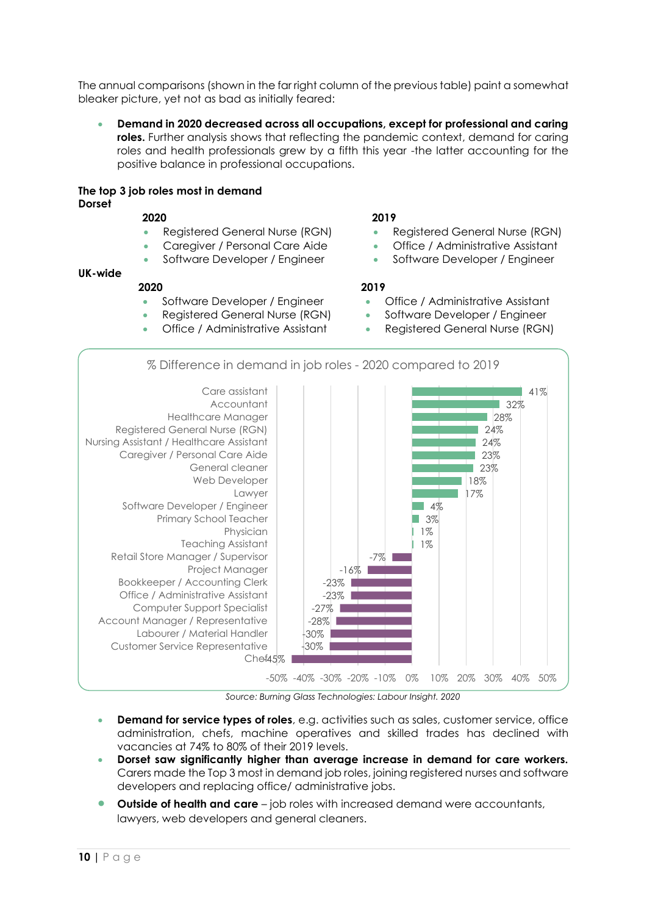The annual comparisons (shown in the far right column of the previous table) paint a somewhat bleaker picture, yet not as bad as initially feared:

 **Demand in 2020 decreased across all occupations, except for professional and caring roles.** Further analysis shows that reflecting the pandemic context, demand for caring roles and health professionals grew by a fifth this year -the latter accounting for the positive balance in professional occupations.

#### **The top 3 job roles most in demand Dorset**

- 
- 
- 

#### **UK-wide**

#### **2020 2019**

- 
- 
- 

#### **2020 2019**

- Registered General Nurse (RGN) Registered General Nurse (RGN)
- Caregiver / Personal Care Aide **Caregiver Caregiver Accord Caregiver** Caregiver Assistant
- Software Developer / Engineer **Software Developer / Engineer**

- Software Developer / Engineer **Conservative** Office / Administrative Assistant
- Registered General Nurse (RGN) Software Developer / Engineer
- Office / Administrative Assistant **Registered General Nurse (RGN)**



*Source: Burning Glass Technologies: Labour Insight. 2020*

- **Demand for service types of roles**, e.g. activities such as sales, customer service, office administration, chefs, machine operatives and skilled trades has declined with vacancies at 74% to 80% of their 2019 levels.
- **Dorset saw significantly higher than average increase in demand for care workers.**  Carers made the Top 3 most in demand job roles, joining registered nurses and software developers and replacing office/ administrative jobs.
- **Outside of health and care** job roles with increased demand were accountants, lawyers, web developers and general cleaners.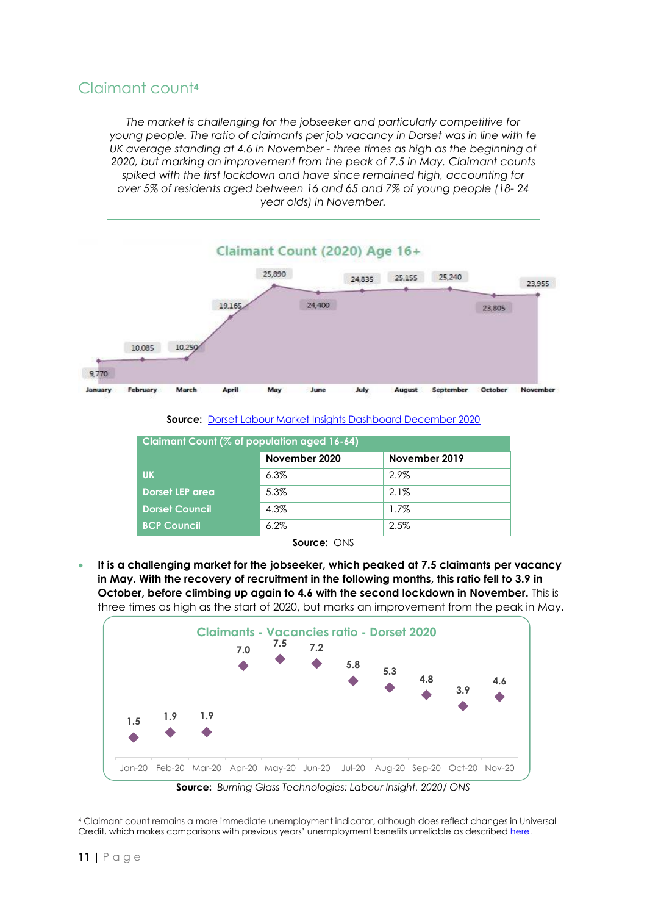### <span id="page-10-0"></span>Claimant count**<sup>4</sup>**

*The market is challenging for the jobseeker and particularly competitive for young people. The ratio of claimants per job vacancy in Dorset was in line with te UK average standing at 4.6 in November - three times as high as the beginning of 2020, but marking an improvement from the peak of 7.5 in May. Claimant counts spiked with the first lockdown and have since remained high, accounting for over 5% of residents aged between 16 and 65 and 7% of young people (18- 24 year olds) in November.*



**Source:** [Dorset Labour Market Insights Dashboard December 2020](https://www.dorsetlep.co.uk/dorset-labour-market-insights-december-2020)

| November 2020<br>November 2019<br>2.9%<br><b>UK</b><br>$6.3\%$ | Claimant Count (% of population aged 16-64) |                        |  |  |  |
|----------------------------------------------------------------|---------------------------------------------|------------------------|--|--|--|
|                                                                |                                             |                        |  |  |  |
|                                                                |                                             |                        |  |  |  |
|                                                                | 5.3%<br>$2.1\%$                             | <b>Dorset LEP area</b> |  |  |  |
| 4.3%<br><b>Dorset Council</b><br>$1.7\%$                       |                                             |                        |  |  |  |
| 2.5%<br><b>BCP Council</b><br>$6.2\%$                          |                                             |                        |  |  |  |

| Source: ONS |  |
|-------------|--|
|             |  |

 **It is a challenging market for the jobseeker, which peaked at 7.5 claimants per vacancy in May. With the recovery of recruitment in the following months, this ratio fell to 3.9 in October, before climbing up again to 4.6 with the second lockdown in November.** This is three times as high as the start of 2020, but marks an improvement from the peak in May.



<sup>4</sup> Claimant count remains a more immediate unemployment indicator, although does reflect changes in Universal Credit, which makes comparisons with previous years' unemployment benefits unreliable as described [here.](https://www.dorsetlep.co.uk/userfiles/files/Understanding%20LMI%20during%20COVID-19.pdf)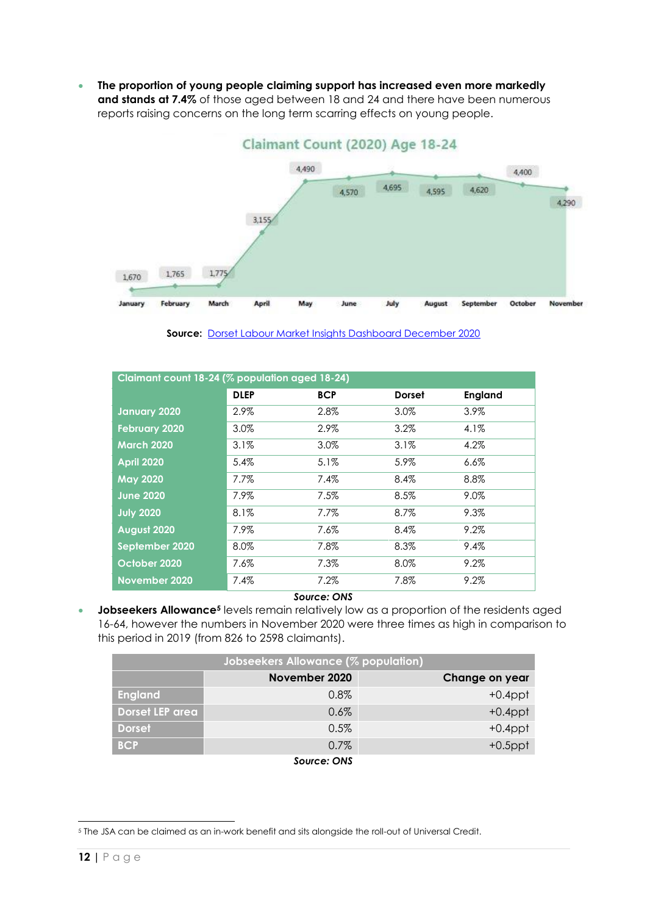**The proportion of young people claiming support has increased even more markedly and stands at 7.4%** of those aged between 18 and 24 and there have been numerous reports raising concerns on the long term scarring effects on young people.



**Source:** [Dorset Labour Market Insights Dashboard December 2020](https://www.dorsetlep.co.uk/dorset-labour-market-insights-december-2020)

| Claimant count 18-24 (% population aged 18-24) |             |            |               |         |  |
|------------------------------------------------|-------------|------------|---------------|---------|--|
|                                                | <b>DLEP</b> | <b>BCP</b> | <b>Dorset</b> | England |  |
| <b>January 2020</b>                            | 2.9%        | 2.8%       | 3.0%          | 3.9%    |  |
| <b>February 2020</b>                           | 3.0%        | 2.9%       | $3.2\%$       | $4.1\%$ |  |
| <b>March 2020</b>                              | 3.1%        | 3.0%       | 3.1%          | 4.2%    |  |
| <b>April 2020</b>                              | 5.4%        | 5.1%       | 5.9%          | $6.6\%$ |  |
| <b>May 2020</b>                                | $7.7\%$     | 7.4%       | 8.4%          | 8.8%    |  |
| <b>June 2020</b>                               | 7.9%        | 7.5%       | 8.5%          | 9.0%    |  |
| <b>July 2020</b>                               | 8.1%        | 7.7%       | 8.7%          | 9.3%    |  |
| <b>August 2020</b>                             | 7.9%        | 7.6%       | 8.4%          | 9.2%    |  |
| September 2020                                 | 8.0%        | 7.8%       | 8.3%          | 9.4%    |  |
| October 2020                                   | 7.6%        | 7.3%       | 8.0%          | 9.2%    |  |
| November 2020                                  | 7.4%        | 7.2%       | 7.8%          | 9.2%    |  |

#### *Source: ONS*

**Jobseekers Allowance<sup>5</sup>** levels remain relatively low as a proportion of the residents aged 16-64, however the numbers in November 2020 were three times as high in comparison to this period in 2019 (from 826 to 2598 claimants).

| Jobseekers Allowance (% population), |                           |                |  |  |  |
|--------------------------------------|---------------------------|----------------|--|--|--|
|                                      | November 2020             | Change on year |  |  |  |
| <b>England</b>                       | $0.8\%$                   | $+0.4$ ppt     |  |  |  |
| Dorset LEP area                      | 0.6%                      | $+0.4$ ppt     |  |  |  |
| <b>Dorset</b>                        | 0.5%                      | $+0.4$ ppt     |  |  |  |
| <b>BCP</b>                           | 0.7%                      | $+0.5$ ppt     |  |  |  |
|                                      | $S_1, S_2, S_3, S_4, S_5$ |                |  |  |  |

*Source: ONS*

<sup>5</sup> The JSA can be claimed as an in-work benefit and sits alongside the roll-out of Universal Credit.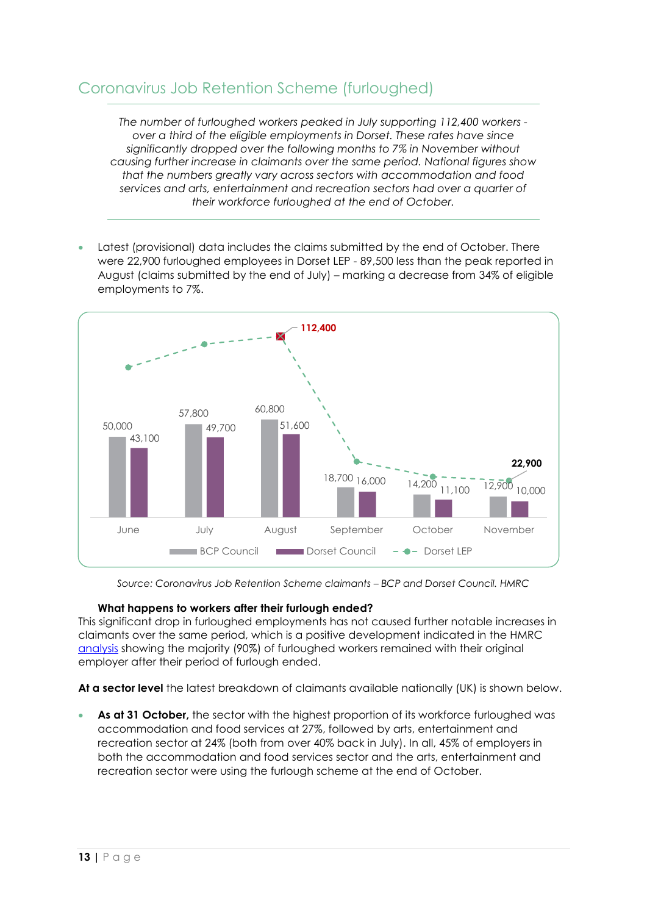### <span id="page-12-0"></span>Coronavirus Job Retention Scheme (furloughed)

*The number of furloughed workers peaked in July supporting 112,400 workers over a third of the eligible employments in Dorset. These rates have since significantly dropped over the following months to 7% in November without causing further increase in claimants over the same period. National figures show that the numbers greatly vary across sectors with accommodation and food services and arts, entertainment and recreation sectors had over a quarter of their workforce furloughed at the end of October.*

 Latest (provisional) data includes the claims submitted by the end of October. There were 22,900 furloughed employees in Dorset LEP - 89,500 less than the peak reported in August (claims submitted by the end of July) – marking a decrease from 34% of eligible employments to 7%.



*Source: Coronavirus Job Retention Scheme claimants – BCP and Dorset Council. HMRC*

#### **What happens to workers after their furlough ended?**

This significant drop in furloughed employments has not caused further notable increases in claimants over the same period, which is a positive development indicated in the HMRC [analysis](https://www.gov.uk/government/publications/coronavirus-job-retention-scheme-statistics-secondary-analysis/coronavirus-job-retention-scheme-statistics-secondary-analysis-of-ended-furloughs) showing the majority (90%) of furloughed workers remained with their original employer after their period of furlough ended.

**At a sector level** the latest breakdown of claimants available nationally (UK) is shown below.

 **As at 31 October,** the sector with the highest proportion of its workforce furloughed was accommodation and food services at 27%, followed by arts, entertainment and recreation sector at 24% (both from over 40% back in July). In all, 45% of employers in both the accommodation and food services sector and the arts, entertainment and recreation sector were using the furlough scheme at the end of October.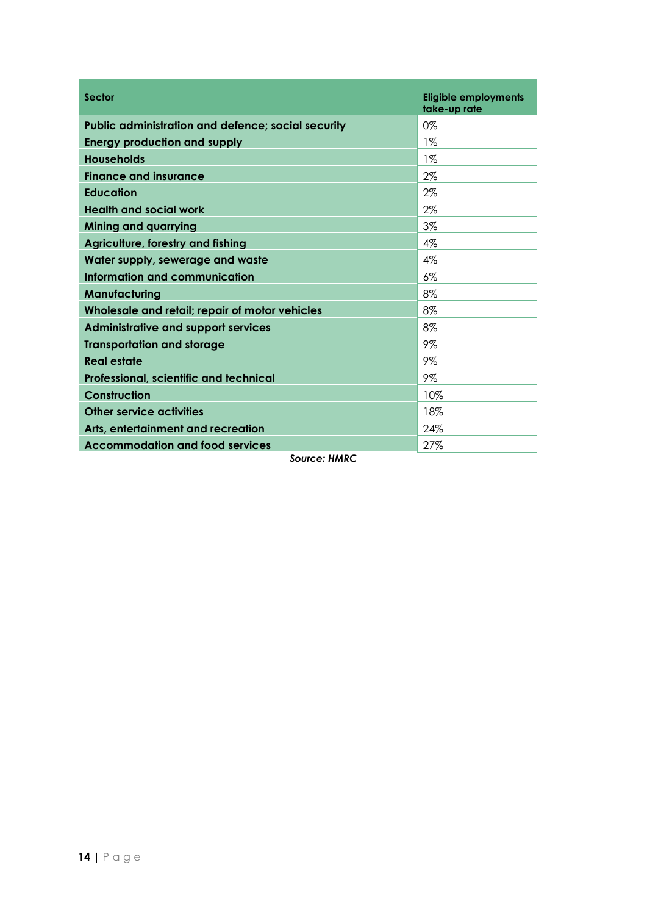| <b>Sector</b>                                             | <b>Eligible employments</b><br>take-up rate |
|-----------------------------------------------------------|---------------------------------------------|
| <b>Public administration and defence; social security</b> | 0%                                          |
| <b>Energy production and supply</b>                       | $1\%$                                       |
| <b>Households</b>                                         | $1\%$                                       |
| <b>Finance and insurance</b>                              | 2%                                          |
| <b>Education</b>                                          | 2%                                          |
| <b>Health and social work</b>                             | $2\%$                                       |
| <b>Mining and quarrying</b>                               | 3%                                          |
| Agriculture, forestry and fishing                         | $4\%$                                       |
| Water supply, sewerage and waste                          | 4%                                          |
| Information and communication                             | 6%                                          |
| Manufacturing                                             | 8%                                          |
| Wholesale and retail; repair of motor vehicles            | 8%                                          |
| <b>Administrative and support services</b>                | 8%                                          |
| <b>Transportation and storage</b>                         | 9%                                          |
| <b>Real estate</b>                                        | 9%                                          |
| Professional, scientific and technical                    | 9%                                          |
| <b>Construction</b>                                       | 10%                                         |
| Other service activities                                  | 18%                                         |
| Arts, entertainment and recreation                        | 24%                                         |
| <b>Accommodation and food services</b>                    | 27%                                         |

*Source: HMRC*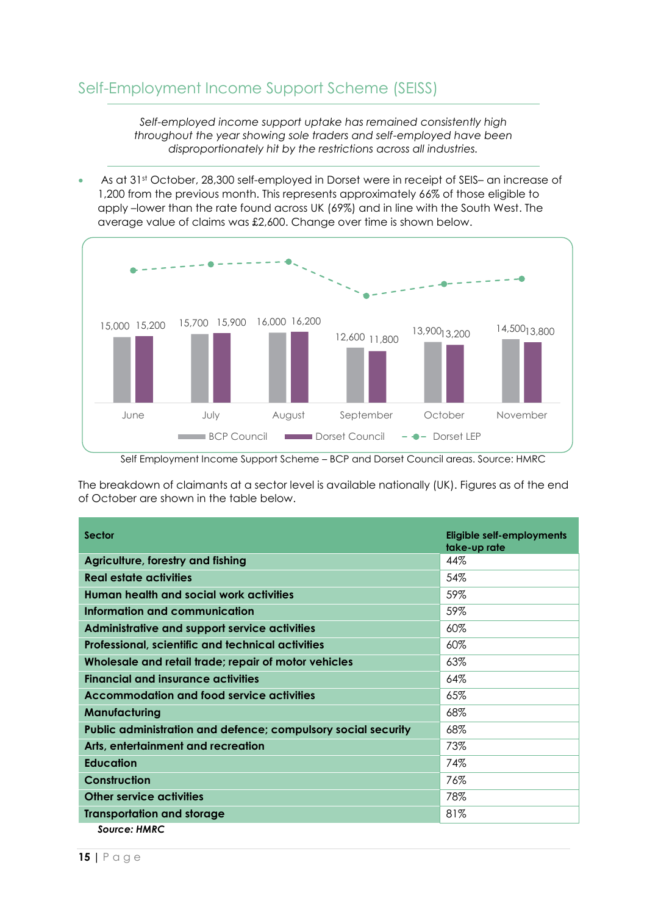<span id="page-14-0"></span>*Self-employed income support uptake has remained consistently high throughout the year showing sole traders and self-employed have been disproportionately hit by the restrictions across all industries.*

 As at 31st October, 28,300 self-employed in Dorset were in receipt of SEIS– an increase of 1,200 from the previous month. This represents approximately 66% of those eligible to apply –lower than the rate found across UK (69%) and in line with the South West. The average value of claims was £2,600. Change over time is shown below.



Self Employment Income Support Scheme – BCP and Dorset Council areas. Source: HMRC

The breakdown of claimants at a sector level is available nationally (UK). Figures as of the end of October are shown in the table below.

| <b>Sector</b>                                                 | Eligible self-employments<br>take-up rate |
|---------------------------------------------------------------|-------------------------------------------|
| Agriculture, forestry and fishing                             | 44%                                       |
| <b>Real estate activities</b>                                 | 54%                                       |
| Human health and social work activities                       | 59%                                       |
| Information and communication                                 | 59%                                       |
| Administrative and support service activities                 | 60%                                       |
| Professional, scientific and technical activities             | 60%                                       |
| Wholesale and retail trade; repair of motor vehicles          | 63%                                       |
| <b>Financial and insurance activities</b>                     | 64%                                       |
| <b>Accommodation and food service activities</b>              | 65%                                       |
| Manufacturing                                                 | 68%                                       |
| Public administration and defence; compulsory social security | 68%                                       |
| Arts, entertainment and recreation                            | 73%                                       |
| <b>Education</b>                                              | 74%                                       |
| <b>Construction</b>                                           | 76%                                       |
| <b>Other service activities</b>                               | 78%                                       |
| <b>Transportation and storage</b>                             | 81%                                       |
| Source: HMRC                                                  |                                           |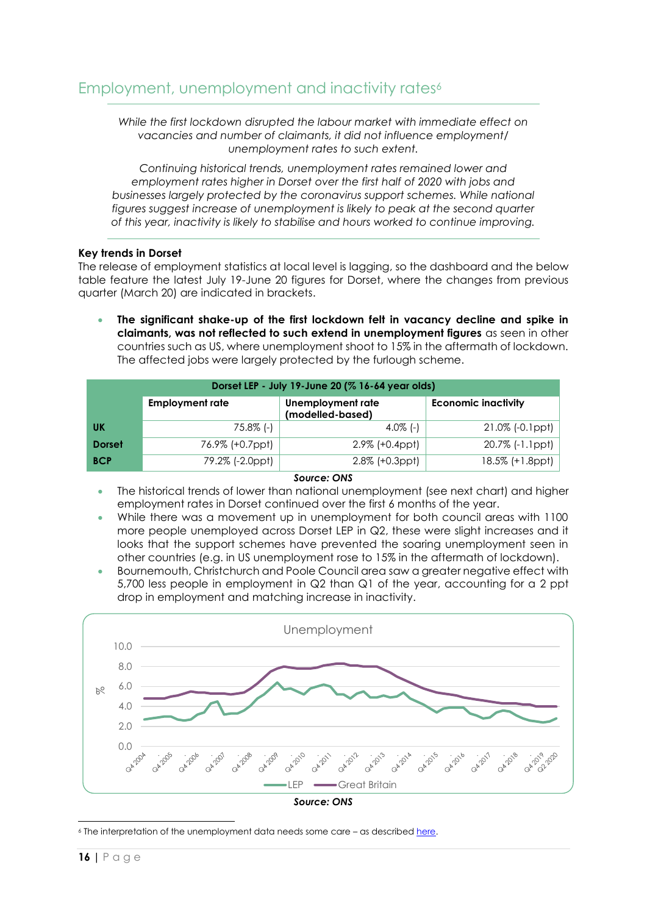<span id="page-15-0"></span>*While the first lockdown disrupted the labour market with immediate effect on vacancies and number of claimants, it did not influence employment/ unemployment rates to such extent.*

*Continuing historical trends, unemployment rates remained lower and employment rates higher in Dorset over the first half of 2020 with jobs and businesses largely protected by the coronavirus support schemes. While national figures suggest increase of unemployment is likely to peak at the second quarter of this year, inactivity is likely to stabilise and hours worked to continue improving.*

#### **Key trends in Dorset**

The release of employment statistics at local level is lagging, so the dashboard and the below table feature the latest July 19-June 20 figures for Dorset, where the changes from previous quarter (March 20) are indicated in brackets.

 **The significant shake-up of the first lockdown felt in vacancy decline and spike in claimants, was not reflected to such extend in unemployment figures** as seen in other countries such as US, where unemployment shoot to 15% in the aftermath of lockdown. The affected jobs were largely protected by the furlough scheme.

| Dorset LEP - July 19-June 20 (% 16-64 year olds) |                        |                                       |                            |  |  |  |
|--------------------------------------------------|------------------------|---------------------------------------|----------------------------|--|--|--|
|                                                  | <b>Employment rate</b> | Unemployment rate<br>(modelled-based) | <b>Economic inactivity</b> |  |  |  |
| UK                                               | $75.8\%$ (-)           | $4.0\%$ (-)                           | 21.0% (-0.1ppt)            |  |  |  |
| <b>Dorset</b>                                    | 76.9% (+0.7ppt)        | $2.9\%$ (+0.4ppt)                     | 20.7% (-1.1ppt)            |  |  |  |
| <b>BCP</b>                                       | 79.2% (-2.0ppt)        | $2.8\%$ $(+0.3$ ppt $)$               | 18.5% (+1.8ppt)            |  |  |  |

#### *Source: ONS*

- The historical trends of lower than national unemployment (see next chart) and higher employment rates in Dorset continued over the first 6 months of the year.
- While there was a movement up in unemployment for both council areas with 1100 more people unemployed across Dorset LEP in Q2, these were slight increases and it looks that the support schemes have prevented the soaring unemployment seen in other countries (e.g. in US unemployment rose to 15% in the aftermath of lockdown).
- Bournemouth, Christchurch and Poole Council area saw a greater negative effect with 5,700 less people in employment in Q2 than Q1 of the year, accounting for a 2 ppt drop in employment and matching increase in inactivity.



*Source: ONS*

<sup>&</sup>lt;sup>6</sup> The interpretation of the unemployment data needs some care - as describe[d here.](https://www.dorsetlep.co.uk/userfiles/files/Understanding%20LMI%20during%20COVID-19.pdf)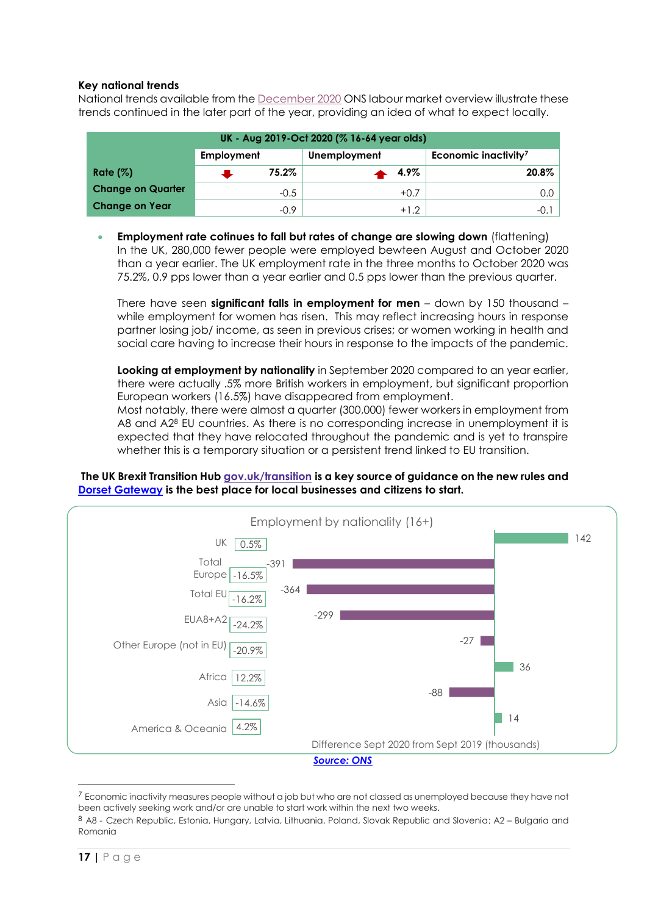#### **Key national trends**

National trends available from the [December 2020](https://www.ons.gov.uk/employmentandlabourmarket/peopleinwork/employmentandemployeetypes/bulletins/uklabourmarket/december2020) ONS labour market overview illustrate these trends continued in the later part of the year, providing an idea of what to expect locally.

| UK - Aug 2019-Oct 2020 (% 16-64 year olds) |            |        |              |                                  |  |
|--------------------------------------------|------------|--------|--------------|----------------------------------|--|
|                                            | Employment |        | Unemployment | Economic inactivity <sup>7</sup> |  |
| Rate $(\%)$                                |            | 75.2%  | 4.9%         | $20.8\%$                         |  |
| <b>Change on Quarter</b>                   |            | $-0.5$ | $+0.7$       | 0.0 l                            |  |
| <b>Change on Year</b>                      |            | $-0.9$ | $+1.2$       | -0.1 I                           |  |

 **Employment rate cotinues to fall but rates of change are slowing down** (flattening) In the UK, 280,000 fewer people were employed bewteen August and October 2020 than a year earlier. The UK employment rate in the three months to October 2020 was 75.2%, 0.9 pps lower than a year earlier and 0.5 pps lower than the previous quarter.

There have seen **significant falls in employment for men** – down by 150 thousand – while employment for women has risen. This may reflect increasing hours in response partner losing job/ income, as seen in previous crises; or women working in health and social care having to increase their hours in response to the impacts of the pandemic.

**Looking at employment by nationality** in September 2020 compared to an year earlier, there were actually .5% more British workers in employment, but significant proportion European workers (16.5%) have disappeared from employment.

Most notably, there were almost a quarter (300,000) fewer workers in employment from A8 and A<sub>28</sub> EU countries. As there is no corresponding increase in unemployment it is expected that they have relocated throughout the pandemic and is yet to transpire whether this is a temporary situation or a persistent trend linked to EU transition.

#### **The UK Brexit Transition Hub [gov.uk/transition](https://www.gov.uk/transition) is a key source of guidance on the new rules and [Dorset Gateway](https://www.dorsetlep.co.uk/transition-period) is the best place for local businesses and citizens to start.**



<sup>&</sup>lt;sup>7</sup> Economic inactivity measures people without a job but who are not classed as unemployed because they have not been actively seeking work and/or are unable to start work within the next two weeks.

 $\overline{a}$ 

<sup>8</sup> A8 - Czech Republic, Estonia, Hungary, Latvia, Lithuania, Poland, Slovak Republic and Slovenia; A2 – Bulgaria and Romania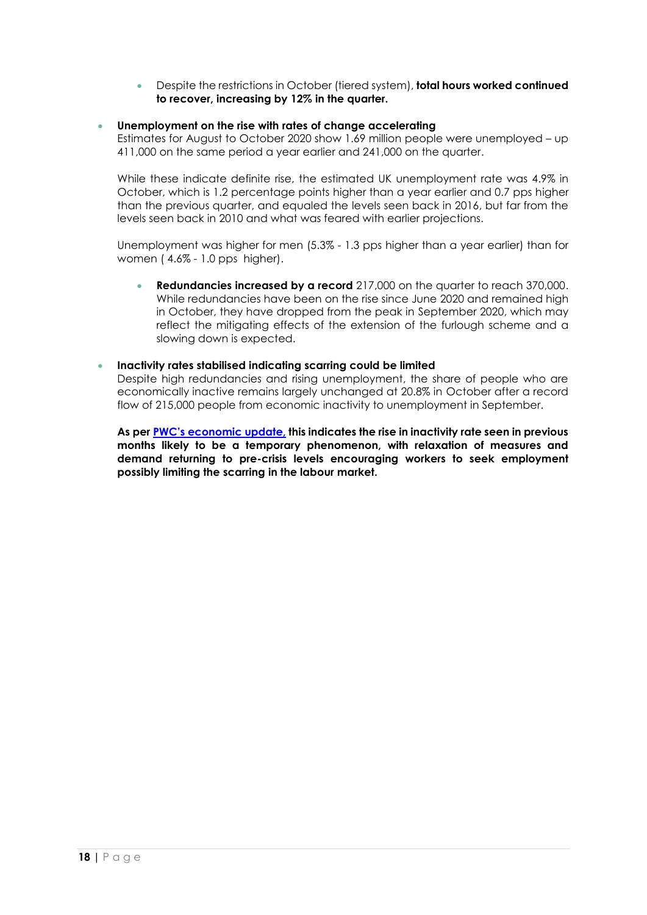Despite the restrictions in October (tiered system), **total hours worked continued to recover, increasing by 12% in the quarter.** 

#### **Unemployment on the rise with rates of change accelerating**

Estimates for August to October 2020 show 1.69 million people were unemployed – up 411,000 on the same period a year earlier and 241,000 on the quarter.

While these indicate definite rise, the estimated UK unemployment rate was 4.9% in October, which is 1.2 percentage points higher than a year earlier and 0.7 pps higher than the previous quarter, and equaled the levels seen back in 2016, but far from the levels seen back in 2010 and what was feared with earlier projections.

Unemployment was higher for men (5.3% - 1.3 pps higher than a year earlier) than for women ( 4.6% - 1.0 pps higher).

 **Redundancies increased by a record** 217,000 on the quarter to reach 370,000. While redundancies have been on the rise since June 2020 and remained high in October, they have dropped from the peak in September 2020, which may reflect the mitigating effects of the extension of the furlough scheme and a slowing down is expected.

#### **Inactivity rates stabilised indicating scarring could be limited**

Despite high redundancies and rising unemployment, the share of people who are economically inactive remains largely unchanged at 20.8% in October after a record flow of 215,000 people from economic inactivity to unemployment in September.

**As per [PWC's economic update,](https://www.pwc.co.uk/premium/covid-19/uk-economic-update-covid-19.pdf) this indicates the rise in inactivity rate seen in previous months likely to be a temporary phenomenon, with relaxation of measures and demand returning to pre-crisis levels encouraging workers to seek employment possibly limiting the scarring in the labour market.**